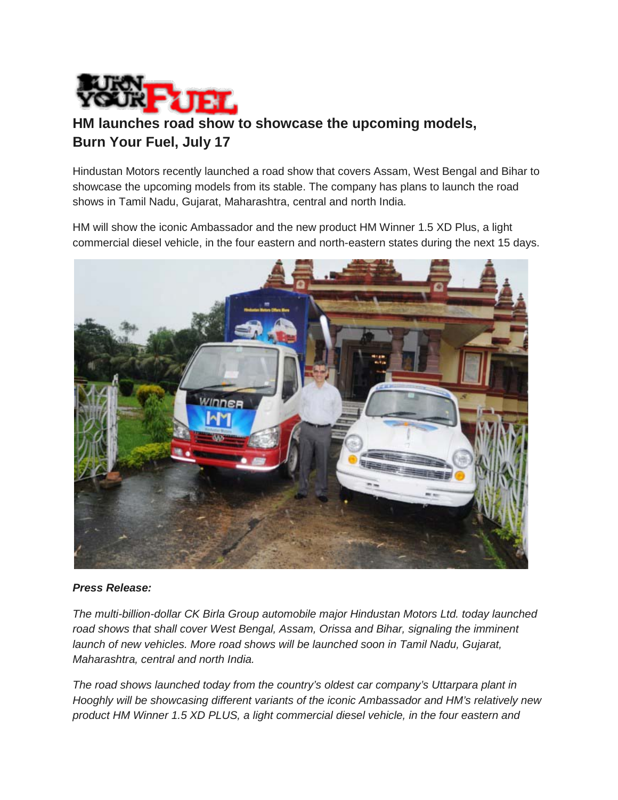

## **HM launches road show to showcase the upcoming models, Burn Your Fuel, July 17**

Hindustan Motors recently launched a road show that covers Assam, West Bengal and Bihar to showcase the upcoming models from its stable. The company has plans to launch the road shows in Tamil Nadu, Gujarat, Maharashtra, central and north India.

HM will show the iconic Ambassador and the new product HM Winner 1.5 XD Plus, a light commercial diesel vehicle, in the four eastern and north-eastern states during the next 15 days.



## *Press Release:*

*The multi-billion-dollar CK Birla Group automobile major Hindustan Motors Ltd. today launched road shows that shall cover West Bengal, Assam, Orissa and Bihar, signaling the imminent launch of new vehicles. More road shows will be launched soon in Tamil Nadu, Gujarat, Maharashtra, central and north India.*

*The road shows launched today from the country's oldest car company's Uttarpara plant in Hooghly will be showcasing different variants of the iconic Ambassador and HM's relatively new product HM Winner 1.5 XD PLUS, a light commercial diesel vehicle, in the four eastern and*